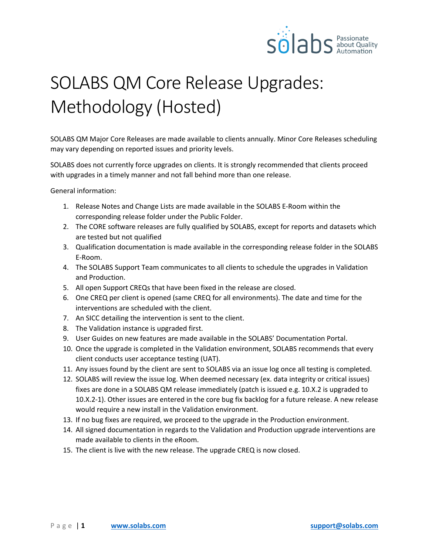

## SOLABS QM Core Release Upgrades: Methodology (Hosted)

SOLABS QM Major Core Releases are made available to clients annually. Minor Core Releases scheduling may vary depending on reported issues and priority levels.

SOLABS does not currently force upgrades on clients. It is strongly recommended that clients proceed with upgrades in a timely manner and not fall behind more than one release.

General information:

- 1. Release Notes and Change Lists are made available in the SOLABS E-Room within the corresponding release folder under the Public Folder.
- 2. The CORE software releases are fully qualified by SOLABS, except for reports and datasets which are tested but not qualified
- 3. Qualification documentation is made available in the corresponding release folder in the SOLABS E-Room.
- 4. The SOLABS Support Team communicates to all clients to schedule the upgrades in Validation and Production.
- 5. All open Support CREQs that have been fixed in the release are closed.
- 6. One CREQ per client is opened (same CREQ for all environments). The date and time for the interventions are scheduled with the client.
- 7. An SICC detailing the intervention is sent to the client.
- 8. The Validation instance is upgraded first.
- 9. User Guides on new features are made available in the SOLABS' Documentation Portal.
- 10. Once the upgrade is completed in the Validation environment, SOLABS recommends that every client conducts user acceptance testing (UAT).
- 11. Any issues found by the client are sent to SOLABS via an issue log once all testing is completed.
- 12. SOLABS will review the issue log. When deemed necessary (ex. data integrity or critical issues) fixes are done in a SOLABS QM release immediately (patch is issued e.g. 10.X.2 is upgraded to 10.X.2-1). Other issues are entered in the core bug fix backlog for a future release. A new release would require a new install in the Validation environment.
- 13. If no bug fixes are required, we proceed to the upgrade in the Production environment.
- 14. All signed documentation in regards to the Validation and Production upgrade interventions are made available to clients in the eRoom.
- 15. The client is live with the new release. The upgrade CREQ is now closed.